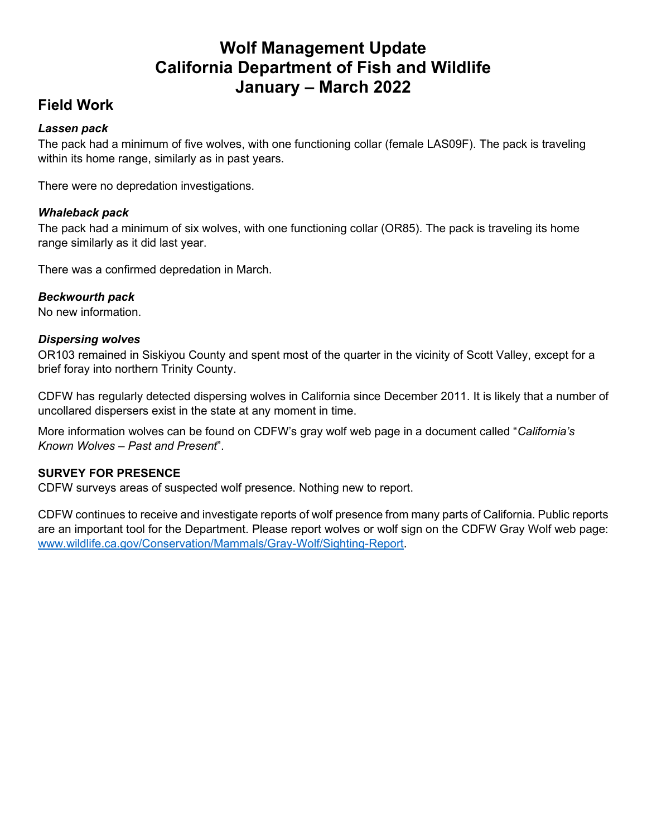# **Wolf Management Update California Department of Fish and Wildlife January – March 2022**

## **Field Work**

## *Lassen pack*

The pack had a minimum of five wolves, with one functioning collar (female LAS09F). The pack is traveling within its home range, similarly as in past years.

There were no depredation investigations.

### *Whaleback pack*

The pack had a minimum of six wolves, with one functioning collar (OR85). The pack is traveling its home range similarly as it did last year.

There was a confirmed depredation in March.

### *Beckwourth pack*

No new information.

### *Dispersing wolves*

OR103 remained in Siskiyou County and spent most of the quarter in the vicinity of Scott Valley, except for a brief foray into northern Trinity County.

CDFW has regularly detected dispersing wolves in California since December 2011. It is likely that a number of uncollared dispersers exist in the state at any moment in time.

More information wolves can be found on CDFW's gray wolf web page in a document called "*California's Known Wolves – Past and Present*".

### **SURVEY FOR PRESENCE**

CDFW surveys areas of suspected wolf presence. Nothing new to report.

CDFW continues to receive and investigate reports of wolf presence from many parts of California. Public reports are an important tool for the Department. Please report wolves or wolf sign on the CDFW Gray Wolf web page: [www.wildlife.ca.gov/Conservation/Mammals/Gray-Wolf/Sighting-Report.](file:///C:/Users/VMonroe/AppData/Local/Microsoft/Windows/INetCache/Content.Outlook/IX5HEDJ2/www.wildlife.ca.gov/Conservation/Mammals/Gray-Wolf/Sighting-Report)